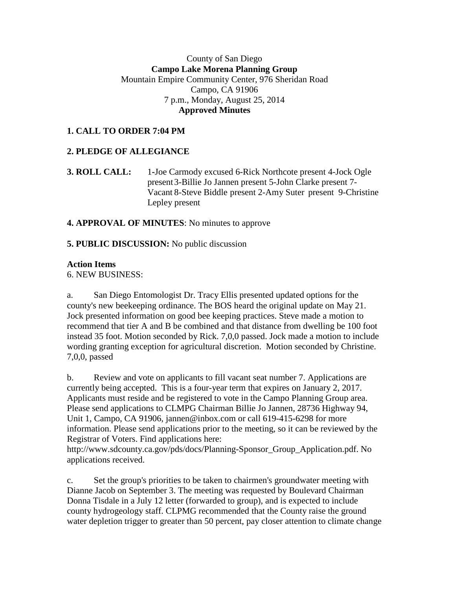## County of San Diego **Campo Lake Morena Planning Group** Mountain Empire Community Center, 976 Sheridan Road Campo, CA 91906 7 p.m., Monday, August 25, 2014  **Approved Minutes**

# **1. CALL TO ORDER 7:04 PM**

## **2. PLEDGE OF ALLEGIANCE**

## **3. ROLL CALL:** 1**-**Joe Carmody excused 6-Rick Northcote present 4-Jock Ogle present3-Billie Jo Jannen present 5-John Clarke present 7- Vacant 8-Steve Biddle present 2-Amy Suter present 9-Christine Lepley present

#### **4. APPROVAL OF MINUTES**: No minutes to approve

#### **5. PUBLIC DISCUSSION:** No public discussion

#### **Action Items**

6. NEW BUSINESS:

a. San Diego Entomologist Dr. Tracy Ellis presented updated options for the county's new beekeeping ordinance. The BOS heard the original update on May 21. Jock presented information on good bee keeping practices. Steve made a motion to recommend that tier A and B be combined and that distance from dwelling be 100 foot instead 35 foot. Motion seconded by Rick. 7,0,0 passed. Jock made a motion to include wording granting exception for agricultural discretion. Motion seconded by Christine. 7,0,0, passed

b. Review and vote on applicants to fill vacant seat number 7. Applications are currently being accepted. This is a four-year term that expires on January 2, 2017. Applicants must reside and be registered to vote in the Campo Planning Group area. Please send applications to CLMPG Chairman Billie Jo Jannen, 28736 Highway 94, Unit 1, Campo, CA 91906, jannen@inbox.com or call 619-415-6298 for more information. Please send applications prior to the meeting, so it can be reviewed by the Registrar of Voters. Find applications here:

http://www.sdcounty.ca.gov/pds/docs/Planning-Sponsor\_Group\_Application.pdf. No applications received.

c. Set the group's priorities to be taken to chairmen's groundwater meeting with Dianne Jacob on September 3. The meeting was requested by Boulevard Chairman Donna Tisdale in a July 12 letter (forwarded to group), and is expected to include county hydrogeology staff. CLPMG recommended that the County raise the ground water depletion trigger to greater than 50 percent, pay closer attention to climate change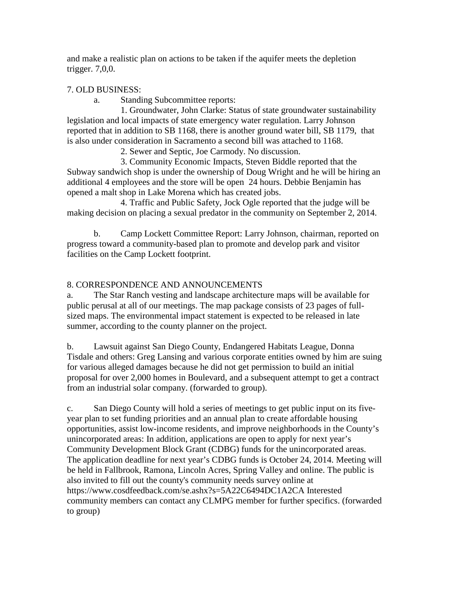and make a realistic plan on actions to be taken if the aquifer meets the depletion trigger. 7,0,0.

## 7. OLD BUSINESS:

a. Standing Subcommittee reports:

1. Groundwater, John Clarke: Status of state groundwater sustainability legislation and local impacts of state emergency water regulation. Larry Johnson reported that in addition to SB 1168, there is another ground water bill, SB 1179, that is also under consideration in Sacramento a second bill was attached to 1168.

2. Sewer and Septic, Joe Carmody. No discussion.

3. Community Economic Impacts, Steven Biddle reported that the Subway sandwich shop is under the ownership of Doug Wright and he will be hiring an additional 4 employees and the store will be open 24 hours. Debbie Benjamin has opened a malt shop in Lake Morena which has created jobs.

4. Traffic and Public Safety, Jock Ogle reported that the judge will be making decision on placing a sexual predator in the community on September 2, 2014.

b. Camp Lockett Committee Report: Larry Johnson, chairman, reported on progress toward a community-based plan to promote and develop park and visitor facilities on the Camp Lockett footprint.

# 8. CORRESPONDENCE AND ANNOUNCEMENTS

a. The Star Ranch vesting and landscape architecture maps will be available for public perusal at all of our meetings. The map package consists of 23 pages of fullsized maps. The environmental impact statement is expected to be released in late summer, according to the county planner on the project.

b. Lawsuit against San Diego County, Endangered Habitats League, Donna Tisdale and others: Greg Lansing and various corporate entities owned by him are suing for various alleged damages because he did not get permission to build an initial proposal for over 2,000 homes in Boulevard, and a subsequent attempt to get a contract from an industrial solar company. (forwarded to group).

c. San Diego County will hold a series of meetings to get public input on its fiveyear plan to set funding priorities and an annual plan to create affordable housing opportunities, assist low-income residents, and improve neighborhoods in the County's unincorporated areas: In addition, applications are open to apply for next year's Community Development Block Grant (CDBG) funds for the unincorporated areas. The application deadline for next year's CDBG funds is October 24, 2014. Meeting will be held in Fallbrook, Ramona, Lincoln Acres, Spring Valley and online. The public is also invited to fill out the county's community needs survey online at https://www.cosdfeedback.com/se.ashx?s=5A22C6494DC1A2CA Interested community members can contact any CLMPG member for further specifics. (forwarded to group)